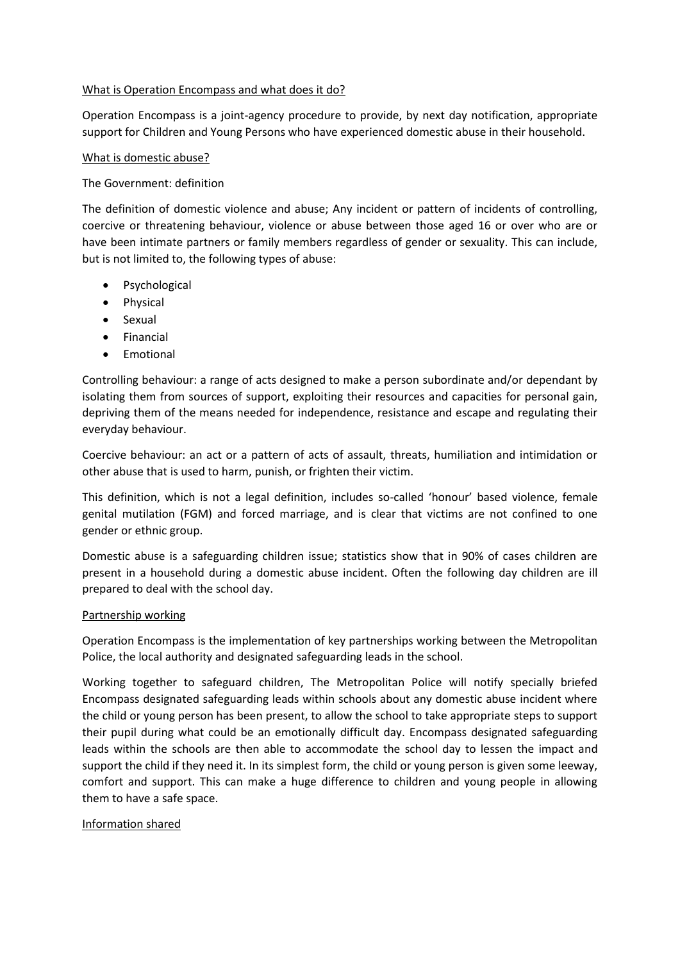#### What is Operation Encompass and what does it do?

Operation Encompass is a joint-agency procedure to provide, by next day notification, appropriate support for Children and Young Persons who have experienced domestic abuse in their household.

#### What is domestic abuse?

## The Government: definition

The definition of domestic violence and abuse; Any incident or pattern of incidents of controlling, coercive or threatening behaviour, violence or abuse between those aged 16 or over who are or have been intimate partners or family members regardless of gender or sexuality. This can include, but is not limited to, the following types of abuse:

- **Psychological**
- Physical
- Sexual
- Financial
- Emotional

Controlling behaviour: a range of acts designed to make a person subordinate and/or dependant by isolating them from sources of support, exploiting their resources and capacities for personal gain, depriving them of the means needed for independence, resistance and escape and regulating their everyday behaviour.

Coercive behaviour: an act or a pattern of acts of assault, threats, humiliation and intimidation or other abuse that is used to harm, punish, or frighten their victim.

This definition, which is not a legal definition, includes so-called 'honour' based violence, female genital mutilation (FGM) and forced marriage, and is clear that victims are not confined to one gender or ethnic group.

Domestic abuse is a safeguarding children issue; statistics show that in 90% of cases children are present in a household during a domestic abuse incident. Often the following day children are ill prepared to deal with the school day.

## Partnership working

Operation Encompass is the implementation of key partnerships working between the Metropolitan Police, the local authority and designated safeguarding leads in the school.

Working together to safeguard children, The Metropolitan Police will notify specially briefed Encompass designated safeguarding leads within schools about any domestic abuse incident where the child or young person has been present, to allow the school to take appropriate steps to support their pupil during what could be an emotionally difficult day. Encompass designated safeguarding leads within the schools are then able to accommodate the school day to lessen the impact and support the child if they need it. In its simplest form, the child or young person is given some leeway, comfort and support. This can make a huge difference to children and young people in allowing them to have a safe space.

## Information shared